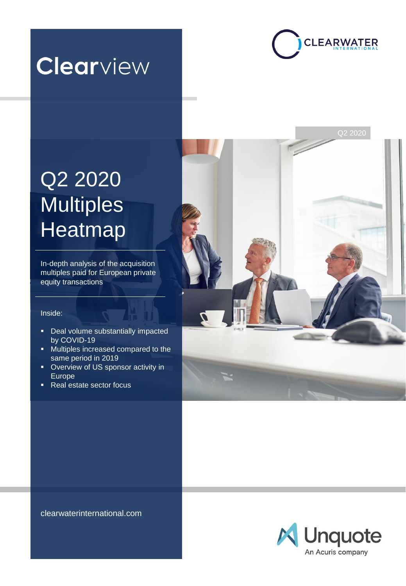



# Q2 2020 **Multiples Heatmap**

In-depth analysis of the acquisition multiples paid for European private equity transactions

### Inside:

- Deal volume substantially impacted by COVID-19
- Multiples increased compared to the same period in 2019
- Overview of US sponsor activity in Europe
- Real estate sector focus



clearwaterinternational.com

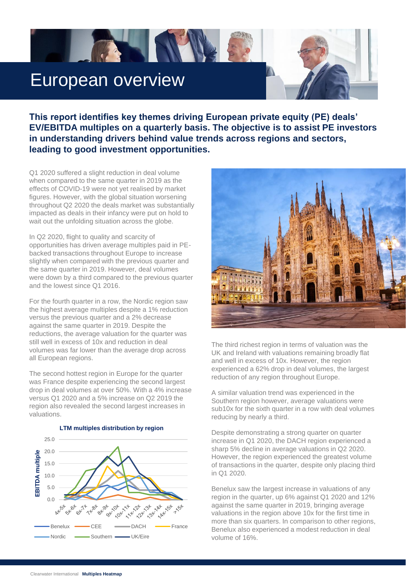## European overview

**TANK** 

**This report identifies key themes driving European private equity (PE) deals' EV/EBITDA multiples on a quarterly basis. The objective is to assist PE investors in understanding drivers behind value trends across regions and sectors, leading to good investment opportunities.**

Q1 2020 suffered a slight reduction in deal volume when compared to the same quarter in 2019 as the effects of COVID-19 were not yet realised by market figures. However, with the global situation worsening throughout Q2 2020 the deals market was substantially impacted as deals in their infancy were put on hold to wait out the unfolding situation across the globe.

In Q2 2020, flight to quality and scarcity of opportunities has driven average multiples paid in PEbacked transactions throughout Europe to increase slightly when compared with the previous quarter and the same quarter in 2019. However, deal volumes were down by a third compared to the previous quarter and the lowest since Q1 2016.

For the fourth quarter in a row, the Nordic region saw the highest average multiples despite a 1% reduction versus the previous quarter and a 2% decrease against the same quarter in 2019. Despite the reductions, the average valuation for the quarter was still well in excess of 10x and reduction in deal volumes was far lower than the average drop across all European regions.

The second hottest region in Europe for the quarter was France despite experiencing the second largest drop in deal volumes at over 50%. With a 4% increase versus Q1 2020 and a 5% increase on Q2 2019 the region also revealed the second largest increases in valuations.



**LTM multiples distribution by region**



The third richest region in terms of valuation was the UK and Ireland with valuations remaining broadly flat and well in excess of 10x. However, the region experienced a 62% drop in deal volumes, the largest reduction of any region throughout Europe.

A similar valuation trend was experienced in the Southern region however, average valuations were sub10x for the sixth quarter in a row with deal volumes reducing by nearly a third.

Despite demonstrating a strong quarter on quarter increase in Q1 2020, the DACH region experienced a sharp 5% decline in average valuations in Q2 2020. However, the region experienced the greatest volume of transactions in the quarter, despite only placing third in Q1 2020.

Benelux saw the largest increase in valuations of any region in the quarter, up 6% against Q1 2020 and 12% against the same quarter in 2019, bringing average valuations in the region above 10x for the first time in more than six quarters. In comparison to other regions, Benelux also experienced a modest reduction in deal volume of 16%.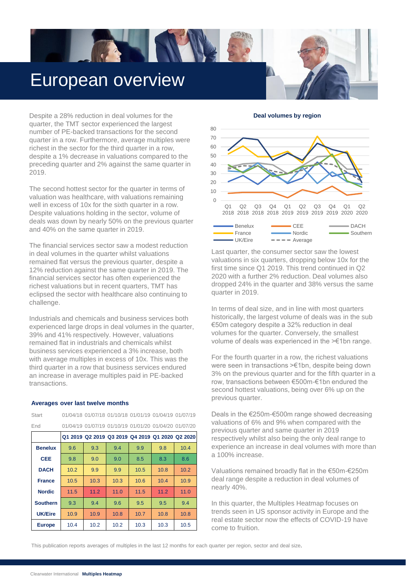## European overview

**TANK** 

Despite a 28% reduction in deal volumes for the quarter, the TMT sector experienced the largest number of PE-backed transactions for the second quarter in a row. Furthermore, average multiples were richest in the sector for the third quarter in a row, despite a 1% decrease in valuations compared to the preceding quarter and 2% against the same quarter in 2019.

The second hottest sector for the quarter in terms of valuation was healthcare, with valuations remaining well in excess of 10x for the sixth quarter in a row. Despite valuations holding in the sector, volume of deals was down by nearly 50% on the previous quarter and 40% on the same quarter in 2019.

The financial services sector saw a modest reduction in deal volumes in the quarter whilst valuations remained flat versus the previous quarter, despite a 12% reduction against the same quarter in 2019. The financial services sector has often experienced the richest valuations but in recent quarters, TMT has eclipsed the sector with healthcare also continuing to challenge.

Industrials and chemicals and business services both experienced large drops in deal volumes in the quarter, 39% and 41% respectively. However, valuations remained flat in industrials and chemicals whilst business services experienced a 3% increase, both with average multiples in excess of 10x. This was the third quarter in a row that business services endured an increase in average multiples paid in PE-backed transactions.

#### **Averages over last twelve months**

| Start           |      |      | 01/04/18 01/07/18 01/10/18 01/01/19 01/04/19 01/07/19 |      |      |      |
|-----------------|------|------|-------------------------------------------------------|------|------|------|
| End             |      |      | 01/04/19 01/07/19 01/10/19 01/01/20 01/04/20 01/07/20 |      |      |      |
|                 |      |      | Q1 2019 Q2 2019 Q3 2019 Q4 2019 Q1 2020 Q2 2020       |      |      |      |
| <b>Benelux</b>  | 9.6  | 9.3  | 9.4                                                   | 9.9  | 9.8  | 10.4 |
| <b>CEE</b>      | 9.8  | 9.0  | 9.0                                                   | 8.5  | 8.3  | 8.6  |
| <b>DACH</b>     | 10.2 | 9.9  | 9.9                                                   | 10.5 | 10.8 | 10.2 |
| <b>France</b>   | 10.5 | 10.3 | 10.3                                                  | 10.6 | 10.4 | 10.9 |
| <b>Nordic</b>   | 11.5 | 11.2 | 11.0                                                  | 11.5 | 11.2 | 11.0 |
| <b>Southern</b> | 9.3  | 9.4  | 9.6                                                   | 9.5  | 9.5  | 9.4  |
| <b>UK/Eire</b>  | 10.9 | 10.9 | 10.8                                                  | 10.7 | 10.8 | 10.8 |
| <b>Europe</b>   | 10.4 | 10.2 | 10.2                                                  | 10.3 | 10.3 | 10.5 |

#### **Deal volumes by region**



Last quarter, the consumer sector saw the lowest valuations in six quarters, dropping below 10x for the first time since Q1 2019. This trend continued in Q2 2020 with a further 2% reduction. Deal volumes also dropped 24% in the quarter and 38% versus the same quarter in 2019.

In terms of deal size, and in line with most quarters historically, the largest volume of deals was in the sub €50m category despite a 32% reduction in deal volumes for the quarter. Conversely, the smallest volume of deals was experienced in the >€1bn range.

For the fourth quarter in a row, the richest valuations were seen in transactions >€1bn, despite being down 3% on the previous quarter and for the fifth quarter in a row, transactions between €500m-€1bn endured the second hottest valuations, being over 6% up on the previous quarter.

Deals in the €250m-€500m range showed decreasing valuations of 6% and 9% when compared with the previous quarter and same quarter in 2019 respectively whilst also being the only deal range to experience an increase in deal volumes with more than a 100% increase.

Valuations remained broadly flat in the €50m-€250m deal range despite a reduction in deal volumes of nearly 40%.

In this quarter, the Multiples Heatmap focuses on trends seen in US sponsor activity in Europe and the real estate sector now the effects of COVID-19 have come to fruition.

This publication reports averages of multiples in the last 12 months for each quarter per region, sector and deal size.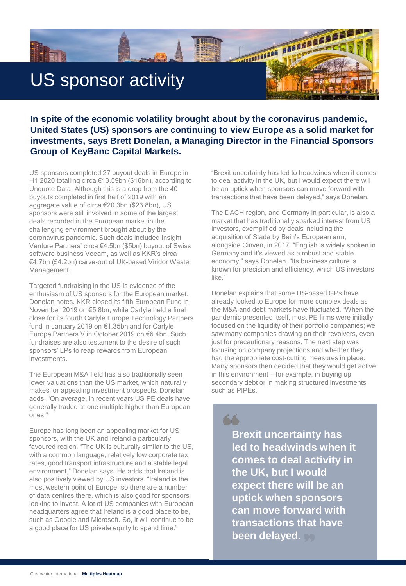

### **In spite of the economic volatility brought about by the coronavirus pandemic, United States (US) sponsors are continuing to view Europe as a solid market for investments, says Brett Donelan, a Managing Director in the Financial Sponsors Group of KeyBanc Capital Markets.**

US sponsors completed 27 buyout deals in Europe in H1 2020 totalling circa €13.59bn (\$16bn), according to Unquote Data. Although this is a drop from the 40 buyouts completed in first half of 2019 with an aggregate value of circa €20.3bn (\$23.8bn), US sponsors were still involved in some of the largest deals recorded in the European market in the challenging environment brought about by the coronavirus pandemic. Such deals included Insight Venture Partners' circa €4.5bn (\$5bn) buyout of Swiss software business Veeam, as well as KKR's circa €4.7bn (£4.2bn) carve-out of UK-based Viridor Waste Management.

Targeted fundraising in the US is evidence of the enthusiasm of US sponsors for the European market, Donelan notes. KKR closed its fifth European Fund in November 2019 on €5.8bn, while Carlyle held a final close for its fourth Carlyle Europe Technology Partners fund in January 2019 on €1.35bn and for Carlyle Europe Partners V in October 2019 on €6.4bn. Such fundraises are also testament to the desire of such sponsors' LPs to reap rewards from European investments.

The European M&A field has also traditionally seen lower valuations than the US market, which naturally makes for appealing investment prospects. Donelan adds: "On average, in recent years US PE deals have generally traded at one multiple higher than European ones."

Europe has long been an appealing market for US sponsors, with the UK and Ireland a particularly favoured region. "The UK is culturally similar to the US, with a common language, relatively low corporate tax rates, good transport infrastructure and a stable legal environment," Donelan says. He adds that Ireland is also positively viewed by US investors. "Ireland is the most western point of Europe, so there are a number of data centres there, which is also good for sponsors looking to invest. A lot of US companies with European headquarters agree that Ireland is a good place to be, such as Google and Microsoft. So, it will continue to be a good place for US private equity to spend time."

"Brexit uncertainty has led to headwinds when it comes to deal activity in the UK, but I would expect there will be an uptick when sponsors can move forward with transactions that have been delayed," says Donelan.

The DACH region, and Germany in particular, is also a market that has traditionally sparked interest from US investors, exemplified by deals including the acquisition of Stada by Bain's European arm, alongside Cinven, in 2017. "English is widely spoken in Germany and it's viewed as a robust and stable economy," says Donelan. "Its business culture is known for precision and efficiency, which US investors like."

Donelan explains that some US-based GPs have already looked to Europe for more complex deals as the M&A and debt markets have fluctuated. "When the pandemic presented itself, most PE firms were initially focused on the liquidity of their portfolio companies; we saw many companies drawing on their revolvers, even just for precautionary reasons. The next step was focusing on company projections and whether they had the appropriate cost-cutting measures in place. Many sponsors then decided that they would get active in this environment – for example, in buying up secondary debt or in making structured investments such as PIPEs."

66 **Brexit uncertainty has led to headwinds when it comes to deal activity in the UK, but I would expect there will be an uptick when sponsors can move forward with transactions that have been delayed.**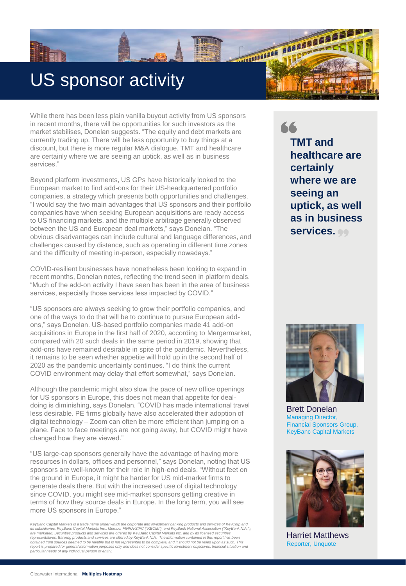## US sponsor activity

While there has been less plain vanilla buyout activity from US sponsors in recent months, there will be opportunities for such investors as the market stabilises, Donelan suggests. "The equity and debt markets are currently trading up. There will be less opportunity to buy things at a discount, but there is more regular M&A dialogue. TMT and healthcare are certainly where we are seeing an uptick, as well as in business services."

Beyond platform investments, US GPs have historically looked to the European market to find add-ons for their US-headquartered portfolio companies, a strategy which presents both opportunities and challenges. "I would say the two main advantages that US sponsors and their portfolio companies have when seeking European acquisitions are ready access to US financing markets, and the multiple arbitrage generally observed between the US and European deal markets," says Donelan. "The obvious disadvantages can include cultural and language differences, and challenges caused by distance, such as operating in different time zones and the difficulty of meeting in-person, especially nowadays."

COVID-resilient businesses have nonetheless been looking to expand in recent months, Donelan notes, reflecting the trend seen in platform deals. "Much of the add-on activity I have seen has been in the area of business services, especially those services less impacted by COVID."

"US sponsors are always seeking to grow their portfolio companies, and one of the ways to do that will be to continue to pursue European addons," says Donelan. US-based portfolio companies made 41 add-on acquisitions in Europe in the first half of 2020, according to Mergermarket, compared with 20 such deals in the same period in 2019, showing that add-ons have remained desirable in spite of the pandemic. Nevertheless, it remains to be seen whether appetite will hold up in the second half of 2020 as the pandemic uncertainty continues. "I do think the current COVID environment may delay that effort somewhat," says Donelan.

Although the pandemic might also slow the pace of new office openings for US sponsors in Europe, this does not mean that appetite for dealdoing is diminishing, says Donelan. "COVID has made international travel less desirable. PE firms globally have also accelerated their adoption of digital technology – Zoom can often be more efficient than jumping on a plane. Face to face meetings are not going away, but COVID might have changed how they are viewed."

"US large-cap sponsors generally have the advantage of having more resources in dollars, offices and personnel," says Donelan, noting that US sponsors are well-known for their role in high-end deals. "Without feet on the ground in Europe, it might be harder for US mid-market firms to generate deals there. But with the increased use of digital technology since COVID, you might see mid-market sponsors getting creative in terms of how they source deals in Europe. In the long term, you will see more US sponsors in Europe."

*KeyBanc Capital Markets is a trade name under which the corporate and investment banking products and services of KeyCorp and* its subsidiaries, KeyBanc Capital Markets Inc., Member FINRA/SIPC ("KBCMI"), and KeyBank National Association ("KeyBank N.A."),<br>are marketed. Securities products and services are offered by KeyBanc Capital Markets Inc. and obtained from sources deemed to be reliable but is not represented to be complete, and it should not be relied upon as such. This<br>report is prepared for general information purposes only and does not consider specific inve

66 **TMT and healthcare are certainly where we are seeing an uptick, as well as in business services.**

**MARIAGE AND READER** 



Brett Donelan Managing Director, Financial Sponsors Group, KeyBanc Capital Markets



Harriet Matthews Reporter, Unquote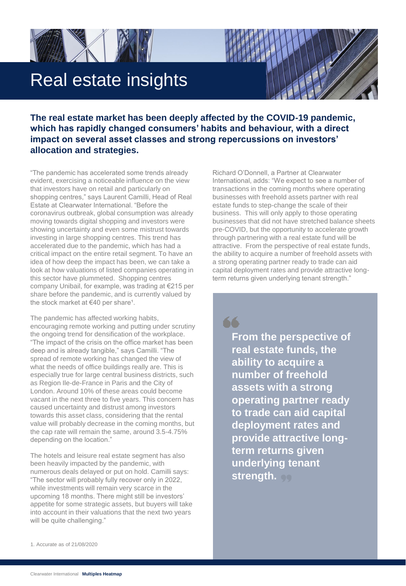



**The real estate market has been deeply affected by the COVID-19 pandemic, which has rapidly changed consumers' habits and behaviour, with a direct impact on several asset classes and strong repercussions on investors' allocation and strategies.** 

"The pandemic has accelerated some trends already evident, exercising a noticeable influence on the view that investors have on retail and particularly on shopping centres," says Laurent Camilli, Head of Real Estate at Clearwater International. "Before the coronavirus outbreak, global consumption was already moving towards digital shopping and investors were showing uncertainty and even some mistrust towards investing in large shopping centres. This trend has accelerated due to the pandemic, which has had a critical impact on the entire retail segment. To have an idea of how deep the impact has been, we can take a look at how valuations of listed companies operating in this sector have plummeted. Shopping centres company Unibail, for example, was trading at €215 per share before the pandemic, and is currently valued by the stock market at  $€40$  per share<sup>1</sup>.

The pandemic has affected working habits, encouraging remote working and putting under scrutiny the ongoing trend for densification of the workplace. "The impact of the crisis on the office market has been deep and is already tangible," says Camilli. "The spread of remote working has changed the view of what the needs of office buildings really are. This is especially true for large central business districts, such as Region Ile-de-France in Paris and the City of London. Around 10% of these areas could become vacant in the next three to five years. This concern has caused uncertainty and distrust among investors towards this asset class, considering that the rental value will probably decrease in the coming months, but the cap rate will remain the same, around 3.5-4.75% depending on the location."

The hotels and leisure real estate segment has also been heavily impacted by the pandemic, with numerous deals delayed or put on hold. Camilli says: "The sector will probably fully recover only in 2022, while investments will remain very scarce in the upcoming 18 months. There might still be investors' appetite for some strategic assets, but buyers will take into account in their valuations that the next two years will be quite challenging."

Richard O'Donnell, a Partner at Clearwater International, adds: "We expect to see a number of transactions in the coming months where operating businesses with freehold assets partner with real estate funds to step-change the scale of their business. This will only apply to those operating businesses that did not have stretched balance sheets pre-COVID, but the opportunity to accelerate growth through partnering with a real estate fund will be attractive. From the perspective of real estate funds, the ability to acquire a number of freehold assets with a strong operating partner ready to trade can aid capital deployment rates and provide attractive longterm returns given underlying tenant strength."

66 **From the perspective of real estate funds, the ability to acquire a number of freehold assets with a strong operating partner ready to trade can aid capital deployment rates and provide attractive longterm returns given underlying tenant strength.**

1. Accurate as of 21/08/2020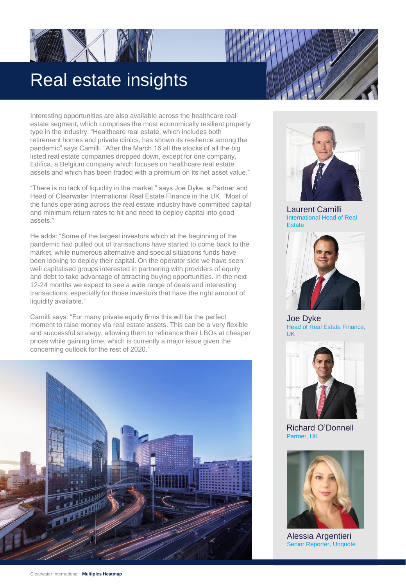## Real estate insights

Interesting opportunities are also available across the healthcare real estate segment, which comprises the most economically resilient property type in the industry. "Healthcare real estate, which includes both retirement homes and private clinics, has shown its resilience among the pandemic" says Camilli. "After the March 16 all the stocks of all the big listed real estate companies dropped down, except for one company, Edifica, a Belgium company which focuses on healthcare real estate assets and which has been traded with a premium on its net asset value."

"There is no lack of liquidity in the market," says Joe Dyke, a Partner and Head of Clearwater International Real Estate Finance in the UK. "Most of the funds operating across the real estate industry have committed capital and minimum return rates to hit and need to deploy capital into good assets."

He adds: "Some of the largest investors which at the beginning of the pandemic had pulled out of transactions have started to come back to the market, while numerous alternative and special situations funds have been looking to deploy their capital. On the operator side we have seen well capitalised groups interested in partnering with providers of equity and debt to take advantage of attracting buying opportunities. In the next 12-24 months we expect to see a wide range of deals and interesting transactions, especially for those investors that have the right amount of liquidity available."

Camilli says: "For many private equity firms this will be the perfect moment to raise money via real estate assets. This can be a very flexible and successful strategy, allowing them to refinance their LBOs at cheaper prices while gaining time, which is currently a major issue given the concerning outlook for the rest of 2020."





Laurent Camilli International Head of Real **Estate** 



Joe Dyke Head of Real Estate Finance, UK



Richard O'Donnell Partner, UK



Alessia Argentieri Senior Reporter, Unquote